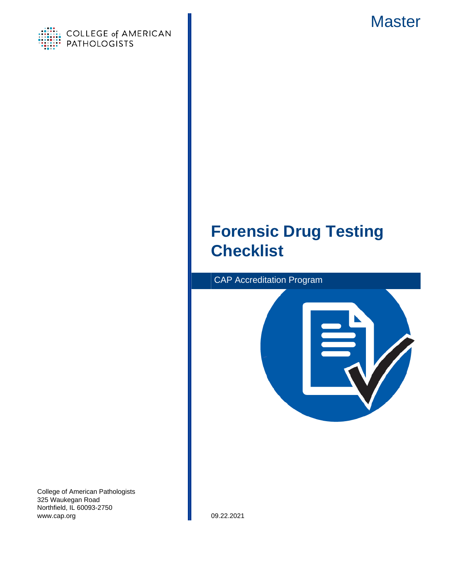



# **Forensic Drug Testing Checklist**





College of American Pathologists 325 Waukegan Road Northfield, IL 60093-2750 www.cap.org 09.22.2021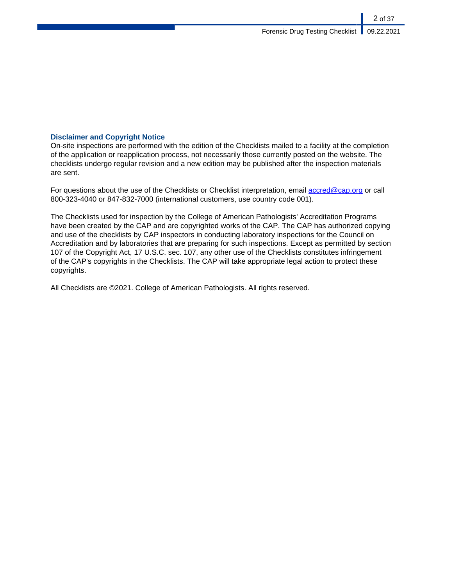### **Disclaimer and Copyright Notice**

On-site inspections are performed with the edition of the Checklists mailed to a facility at the completion of the application or reapplication process, not necessarily those currently posted on the website. The checklists undergo regular revision and a new edition may be published after the inspection materials are sent.

For questions about the use of the Checklists or Checklist interpretation, email [accred@cap.org](mailto:accred@cap.org) or call 800-323-4040 or 847-832-7000 (international customers, use country code 001).

The Checklists used for inspection by the College of American Pathologists' Accreditation Programs have been created by the CAP and are copyrighted works of the CAP. The CAP has authorized copying and use of the checklists by CAP inspectors in conducting laboratory inspections for the Council on Accreditation and by laboratories that are preparing for such inspections. Except as permitted by section 107 of the Copyright Act, 17 U.S.C. sec. 107, any other use of the Checklists constitutes infringement of the CAP's copyrights in the Checklists. The CAP will take appropriate legal action to protect these copyrights.

All Checklists are ©2021. College of American Pathologists. All rights reserved.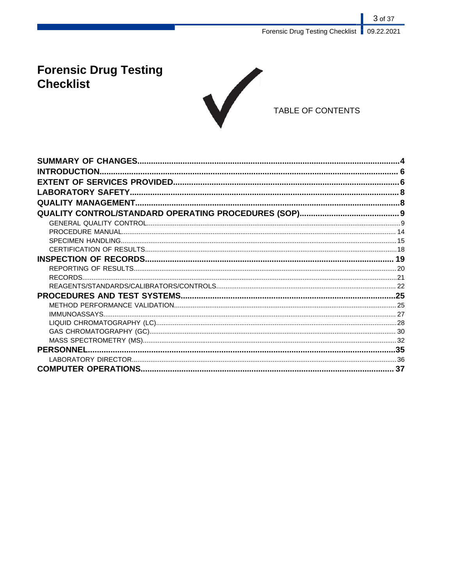Forensic Drug Testing Checklist | 09.22.2021

3 of 37

# **Forensic Drug Testing Checklist**



TABLE OF CONTENTS

| <b>INTRODUCTION.</b> |  |
|----------------------|--|
|                      |  |
|                      |  |
|                      |  |
|                      |  |
|                      |  |
|                      |  |
|                      |  |
|                      |  |
|                      |  |
|                      |  |
|                      |  |
|                      |  |
|                      |  |
|                      |  |
|                      |  |
|                      |  |
|                      |  |
|                      |  |
|                      |  |
|                      |  |
|                      |  |
|                      |  |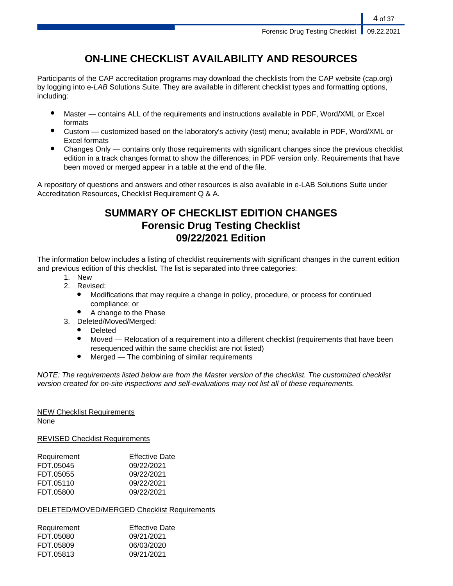## **ON-LINE CHECKLIST AVAILABILITY AND RESOURCES**

Participants of the CAP accreditation programs may download the checklists from the CAP website (cap.org) by logging into e-LAB Solutions Suite. They are available in different checklist types and formatting options, including:

- Master contains ALL of the requirements and instructions available in PDF, Word/XML or Excel formats
- Custom customized based on the laboratory's activity (test) menu; available in PDF, Word/XML or Excel formats
- Changes Only contains only those requirements with significant changes since the previous checklist edition in a track changes format to show the differences; in PDF version only. Requirements that have been moved or merged appear in a table at the end of the file.

A repository of questions and answers and other resources is also available in e-LAB Solutions Suite under Accreditation Resources, Checklist Requirement Q & A.

## **SUMMARY OF CHECKLIST EDITION CHANGES Forensic Drug Testing Checklist 09/22/2021 Edition**

The information below includes a listing of checklist requirements with significant changes in the current edition and previous edition of this checklist. The list is separated into three categories:

- 1. New
- 2. Revised:
	- Modifications that may require a change in policy, procedure, or process for continued compliance; or
	- A change to the Phase
- 3. Deleted/Moved/Merged:
	- **Deleted**
	- Moved Relocation of a requirement into a different checklist (requirements that have been resequenced within the same checklist are not listed)
	- $Mered$  The combining of similar requirements

NOTE: The requirements listed below are from the Master version of the checklist. The customized checklist version created for on-site inspections and self-evaluations may not list all of these requirements.

## NEW Checklist Requirements

None

REVISED Checklist Requirements

| <b>Effective Date</b> |
|-----------------------|
|                       |
|                       |
|                       |
|                       |
|                       |

### DELETED/MOVED/MERGED Checklist Requirements

| Requirement | <b>Effective Date</b> |
|-------------|-----------------------|
| FDT.05080   | 09/21/2021            |
| FDT.05809   | 06/03/2020            |
| FDT.05813   | 09/21/2021            |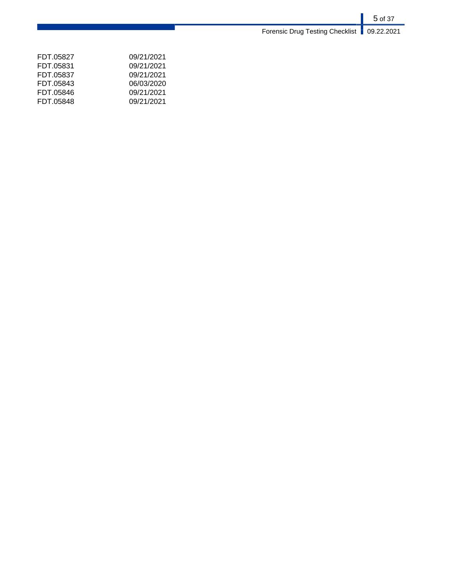5 of 37 Forensic Drug Testing Checklist | 09.22.2021

| FDT 05827 | 09/21/2021 |
|-----------|------------|
| FDT 05831 | 09/21/2021 |
| FDT 05837 | 09/21/2021 |
| FDT 05843 | 06/03/2020 |
| FDT 05846 | 09/21/2021 |
| FDT.05848 | 09/21/2021 |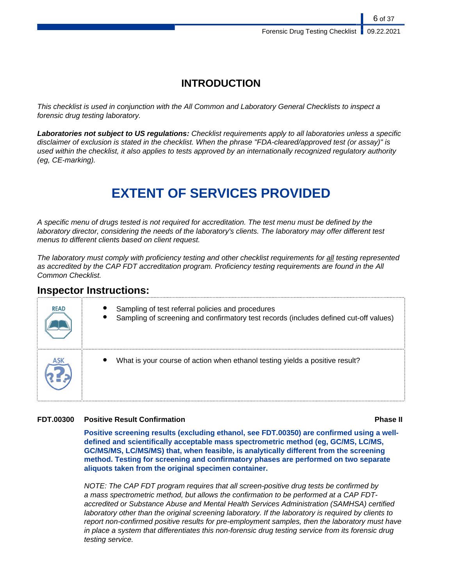## **INTRODUCTION**

This checklist is used in conjunction with the All Common and Laboratory General Checklists to inspect a forensic drug testing laboratory.

**Laboratories not subject to US regulations:** Checklist requirements apply to all laboratories unless a specific disclaimer of exclusion is stated in the checklist. When the phrase "FDA-cleared/approved test (or assay)" is used within the checklist, it also applies to tests approved by an internationally recognized regulatory authority (eg, CE-marking).

# **EXTENT OF SERVICES PROVIDED**

A specific menu of drugs tested is not required for accreditation. The test menu must be defined by the laboratory director, considering the needs of the laboratory's clients. The laboratory may offer different test menus to different clients based on client request.

The laboratory must comply with proficiency testing and other checklist requirements for all testing represented as accredited by the CAP FDT accreditation program. Proficiency testing requirements are found in the All Common Checklist.

## **Inspector Instructions:**

| <b>READ</b> | Sampling of test referral policies and procedures<br>Sampling of screening and confirmatory test records (includes defined cut-off values) |
|-------------|--------------------------------------------------------------------------------------------------------------------------------------------|
|             | What is your course of action when ethanol testing yields a positive result?                                                               |

### **FDT.00300 Positive Result Confirmation Phase II**

**Positive screening results (excluding ethanol, see FDT.00350) are confirmed using a welldefined and scientifically acceptable mass spectrometric method (eg, GC/MS, LC/MS, GC/MS/MS, LC/MS/MS) that, when feasible, is analytically different from the screening method. Testing for screening and confirmatory phases are performed on two separate aliquots taken from the original specimen container.**

NOTE: The CAP FDT program requires that all screen-positive drug tests be confirmed by a mass spectrometric method, but allows the confirmation to be performed at a CAP FDTaccredited or Substance Abuse and Mental Health Services Administration (SAMHSA) certified laboratory other than the original screening laboratory. If the laboratory is required by clients to report non-confirmed positive results for pre-employment samples, then the laboratory must have in place a system that differentiates this non-forensic drug testing service from its forensic drug testing service.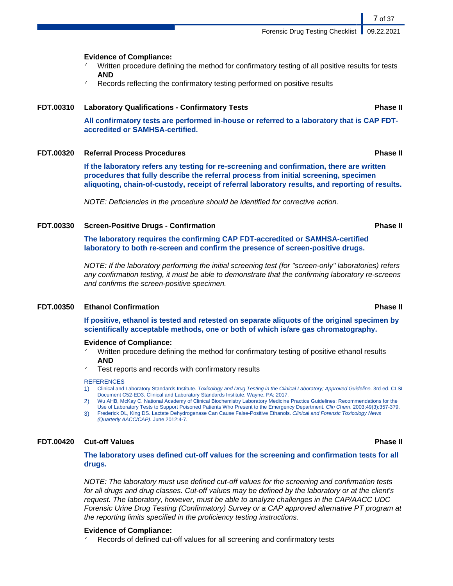Forensic Drug Testing Checklist | 09.22.2021

**Evidence of Compliance:**

- Written procedure defining the method for confirmatory testing of all positive results for tests **AND**
- Records reflecting the confirmatory testing performed on positive results

### **FDT.00310 Laboratory Qualifications - Confirmatory Tests Phase II**

**All confirmatory tests are performed in-house or referred to a laboratory that is CAP FDTaccredited or SAMHSA-certified.**

#### **FDT.00320 Referral Process Procedures Phase II**

**If the laboratory refers any testing for re-screening and confirmation, there are written procedures that fully describe the referral process from initial screening, specimen aliquoting, chain-of-custody, receipt of referral laboratory results, and reporting of results.**

NOTE: Deficiencies in the procedure should be identified for corrective action.

#### **FDT.00330 Screen-Positive Drugs - Confirmation Phase II**

**The laboratory requires the confirming CAP FDT-accredited or SAMHSA-certified laboratory to both re-screen and confirm the presence of screen-positive drugs.**

NOTE: If the laboratory performing the initial screening test (for "screen-only" laboratories) refers any confirmation testing, it must be able to demonstrate that the confirming laboratory re-screens and confirms the screen-positive specimen.

#### **FDT.00350 Ethanol Confirmation Phase II**

**If positive, ethanol is tested and retested on separate aliquots of the original specimen by scientifically acceptable methods, one or both of which is/are gas chromatography.**

#### **Evidence of Compliance:**

- Written procedure defining the method for confirmatory testing of positive ethanol results **AND**
- Test reports and records with confirmatory results

#### **REFERENCES**

- 1) Clinical and Laboratory Standards Institute. Toxicology and Drug Testing in the Clinical Laboratory; Approved Guideline. 3rd ed. CLSI Document C52-ED3. Clinical and Laboratory Standards Institute, Wayne, PA; 2017.
- 2) Wu AHB, McKay C. National Academy of Clinical Biochemistry Laboratory Medicine Practice Guidelines: Recommendations for the Use of Laboratory Tests to Support Poisoned Patients Who Present to the Emergency Department. Clin Chem. 2003;49(3):357-379.
- 3) Frederick DL, King DS. Lactate Dehydrogenase Can Cause False-Positive Ethanols. Clinical and Forensic Toxicology News (Quarterly AACC/CAP). June 2012:4-7.

#### **FDT.00420 Cut-off Values Phase II**

**The laboratory uses defined cut-off values for the screening and confirmation tests for all drugs.**

NOTE: The laboratory must use defined cut-off values for the screening and confirmation tests for all drugs and drug classes. Cut-off values may be defined by the laboratory or at the client's request. The laboratory, however, must be able to analyze challenges in the CAP/AACC UDC Forensic Urine Drug Testing (Confirmatory) Survey or a CAP approved alternative PT program at the reporting limits specified in the proficiency testing instructions.

#### **Evidence of Compliance:**

Records of defined cut-off values for all screening and confirmatory tests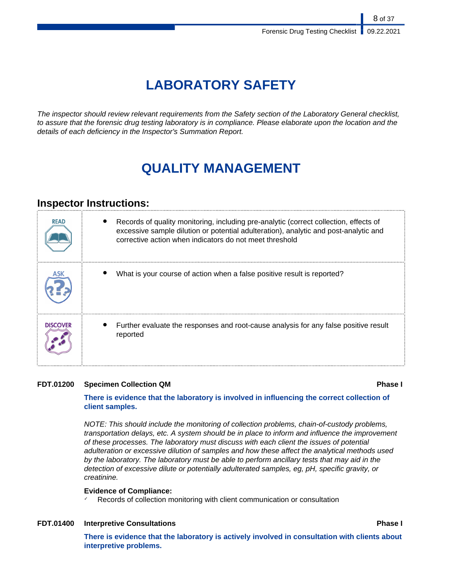# **LABORATORY SAFETY**

The inspector should review relevant requirements from the Safety section of the Laboratory General checklist, to assure that the forensic drug testing laboratory is in compliance. Please elaborate upon the location and the details of each deficiency in the Inspector's Summation Report.

# **QUALITY MANAGEMENT**

## **Inspector Instructions:**

| <b>READ</b>     | Records of quality monitoring, including pre-analytic (correct collection, effects of<br>excessive sample dilution or potential adulteration), analytic and post-analytic and<br>corrective action when indicators do not meet threshold |
|-----------------|------------------------------------------------------------------------------------------------------------------------------------------------------------------------------------------------------------------------------------------|
|                 | What is your course of action when a false positive result is reported?                                                                                                                                                                  |
| <b>DISCOVER</b> | Further evaluate the responses and root-cause analysis for any false positive result<br>reported                                                                                                                                         |

### **FDT.01200 Specimen Collection QM Phase I**

### **There is evidence that the laboratory is involved in influencing the correct collection of client samples.**

NOTE: This should include the monitoring of collection problems, chain-of-custody problems, transportation delays, etc. A system should be in place to inform and influence the improvement of these processes. The laboratory must discuss with each client the issues of potential adulteration or excessive dilution of samples and how these affect the analytical methods used by the laboratory. The laboratory must be able to perform ancillary tests that may aid in the detection of excessive dilute or potentially adulterated samples, eg, pH, specific gravity, or creatinine.

### **Evidence of Compliance:**

Records of collection monitoring with client communication or consultation

#### **FDT.01400 Interpretive Consultations Phase I**

**There is evidence that the laboratory is actively involved in consultation with clients about interpretive problems.**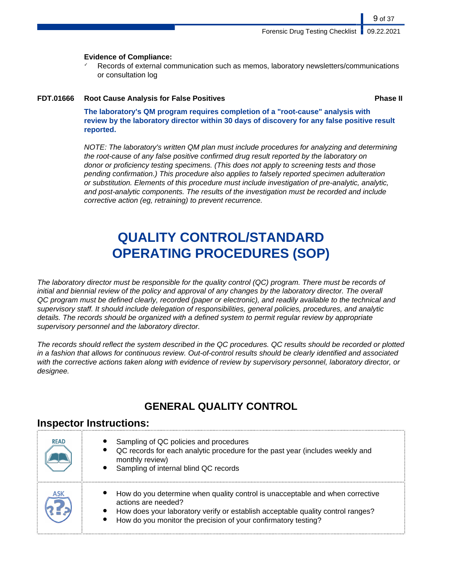9 of 37

### **Evidence of Compliance:**

Records of external communication such as memos, laboratory newsletters/communications or consultation log

### **FDT.01666 Root Cause Analysis for False Positives Phase II**

**The laboratory's QM program requires completion of a "root-cause" analysis with review by the laboratory director within 30 days of discovery for any false positive result reported.**

NOTE: The laboratory's written QM plan must include procedures for analyzing and determining the root-cause of any false positive confirmed drug result reported by the laboratory on donor or proficiency testing specimens. (This does not apply to screening tests and those pending confirmation.) This procedure also applies to falsely reported specimen adulteration or substitution. Elements of this procedure must include investigation of pre-analytic, analytic, and post-analytic components. The results of the investigation must be recorded and include corrective action (eg, retraining) to prevent recurrence.

# **QUALITY CONTROL/STANDARD OPERATING PROCEDURES (SOP)**

The laboratory director must be responsible for the quality control (QC) program. There must be records of initial and biennial review of the policy and approval of any changes by the laboratory director. The overall QC program must be defined clearly, recorded (paper or electronic), and readily available to the technical and supervisory staff. It should include delegation of responsibilities, general policies, procedures, and analytic details. The records should be organized with a defined system to permit regular review by appropriate supervisory personnel and the laboratory director.

The records should reflect the system described in the QC procedures. QC results should be recorded or plotted in a fashion that allows for continuous review. Out-of-control results should be clearly identified and associated with the corrective actions taken along with evidence of review by supervisory personnel, laboratory director, or designee.

## **GENERAL QUALITY CONTROL**

## **Inspector Instructions:**

| <b>READ</b> | Sampling of QC policies and procedures<br>QC records for each analytic procedure for the past year (includes weekly and<br>monthly review)<br>Sampling of internal blind QC records                                                                       |
|-------------|-----------------------------------------------------------------------------------------------------------------------------------------------------------------------------------------------------------------------------------------------------------|
| ASK         | How do you determine when quality control is unacceptable and when corrective<br>actions are needed?<br>How does your laboratory verify or establish acceptable quality control ranges?<br>How do you monitor the precision of your confirmatory testing? |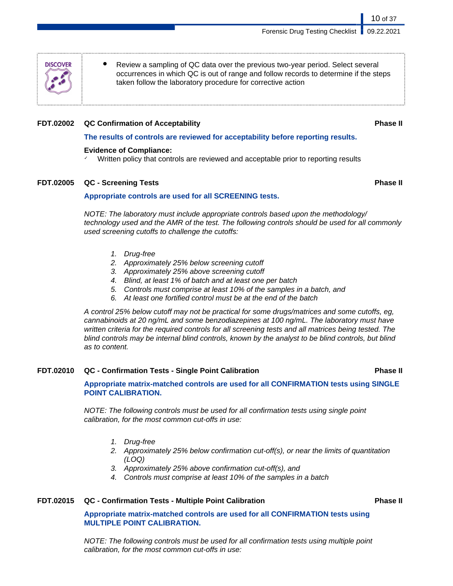Forensic Drug Testing Checklist | 09.22.2021

occurrences in which QC is out of range and follow records to determine if the steps taken follow the laboratory procedure for corrective action

### **FDT.02002 QC Confirmation of Acceptability Phase II**

### **The results of controls are reviewed for acceptability before reporting results.**

### **Evidence of Compliance:**

Written policy that controls are reviewed and acceptable prior to reporting results

### **FDT.02005 QC - Screening Tests Phase II**

### **Appropriate controls are used for all SCREENING tests.**

NOTE: The laboratory must include appropriate controls based upon the methodology/ technology used and the AMR of the test. The following controls should be used for all commonly used screening cutoffs to challenge the cutoffs:

Review a sampling of QC data over the previous two-year period. Select several

- 1. Drug-free
- 2. Approximately 25% below screening cutoff
- 3. Approximately 25% above screening cutoff
- 4. Blind, at least 1% of batch and at least one per batch
- 5. Controls must comprise at least 10% of the samples in a batch, and
- 6. At least one fortified control must be at the end of the batch

A control 25% below cutoff may not be practical for some drugs/matrices and some cutoffs, eg, cannabinoids at 20 ng/mL and some benzodiazepines at 100 ng/mL. The laboratory must have written criteria for the required controls for all screening tests and all matrices being tested. The blind controls may be internal blind controls, known by the analyst to be blind controls, but blind as to content.

### **FDT.02010 QC - Confirmation Tests - Single Point Calibration Phase II**

**Appropriate matrix-matched controls are used for all CONFIRMATION tests using SINGLE POINT CALIBRATION.**

NOTE: The following controls must be used for all confirmation tests using single point calibration, for the most common cut-offs in use:

- 1. Drug-free
- 2. Approximately 25% below confirmation cut-off(s), or near the limits of quantitation (LOQ)
- 3. Approximately 25% above confirmation cut-off(s), and
- 4. Controls must comprise at least 10% of the samples in a batch

### **FDT.02015 QC - Confirmation Tests - Multiple Point Calibration Phase II**

### **Appropriate matrix-matched controls are used for all CONFIRMATION tests using MULTIPLE POINT CALIBRATION.**

NOTE: The following controls must be used for all confirmation tests using multiple point calibration, for the most common cut-offs in use:

**DISCOVER**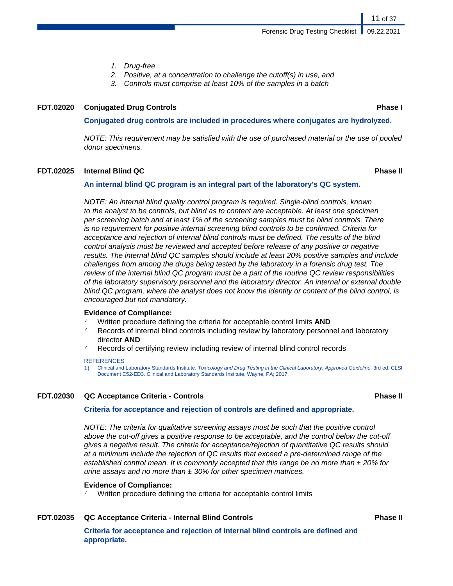- 1. Drug-free
- 2. Positive, at a concentration to challenge the cutoff(s) in use, and
- 3. Controls must comprise at least 10% of the samples in a batch

#### **FDT.02020 Conjugated Drug Controls Phase I**

11 of 37

#### **Conjugated drug controls are included in procedures where conjugates are hydrolyzed.**

NOTE: This requirement may be satisfied with the use of purchased material or the use of pooled donor specimens.

#### **FDT.02025 Internal Blind QC Phase II**

#### **An internal blind QC program is an integral part of the laboratory's QC system.**

NOTE: An internal blind quality control program is required. Single-blind controls, known to the analyst to be controls, but blind as to content are acceptable. At least one specimen per screening batch and at least 1% of the screening samples must be blind controls. There is no requirement for positive internal screening blind controls to be confirmed. Criteria for acceptance and rejection of internal blind controls must be defined. The results of the blind control analysis must be reviewed and accepted before release of any positive or negative results. The internal blind QC samples should include at least 20% positive samples and include challenges from among the drugs being tested by the laboratory in a forensic drug test. The review of the internal blind QC program must be a part of the routine QC review responsibilities of the laboratory supervisory personnel and the laboratory director. An internal or external double blind QC program, where the analyst does not know the identity or content of the blind control, is encouraged but not mandatory.

#### **Evidence of Compliance:**

- Written procedure defining the criteria for acceptable control limits **AND**
- Records of internal blind controls including review by laboratory personnel and laboratory director **AND**
- Records of certifying review including review of internal blind control records

#### **REFERENCES**

1) Clinical and Laboratory Standards Institute. Toxicology and Drug Testing in the Clinical Laboratory; Approved Guideline. 3rd ed. CLSI Document C52-ED3. Clinical and Laboratory Standards Institute, Wayne, PA; 2017.

#### **FDT.02030 QC Acceptance Criteria - Controls Phase II**

#### **Criteria for acceptance and rejection of controls are defined and appropriate.**

NOTE: The criteria for qualitative screening assays must be such that the positive control above the cut-off gives a positive response to be acceptable, and the control below the cut-off gives a negative result. The criteria for acceptance/rejection of quantitative QC results should at a minimum include the rejection of QC results that exceed a pre-determined range of the established control mean. It is commonly accepted that this range be no more than  $\pm$  20% for urine assays and no more than  $\pm$  30% for other specimen matrices.

#### **Evidence of Compliance:**

Written procedure defining the criteria for acceptable control limits

#### **FDT.02035 QC Acceptance Criteria - Internal Blind Controls Phase II**

**Criteria for acceptance and rejection of internal blind controls are defined and appropriate.**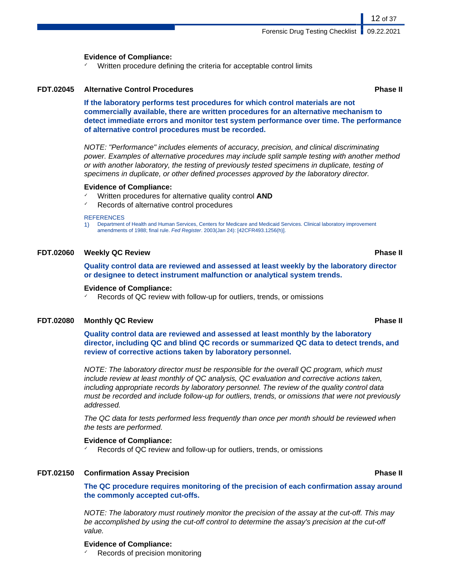#### **Evidence of Compliance:**

Written procedure defining the criteria for acceptable control limits

#### **FDT.02045 Alternative Control Procedures Phase II**

12 of 37

**If the laboratory performs test procedures for which control materials are not commercially available, there are written procedures for an alternative mechanism to detect immediate errors and monitor test system performance over time. The performance of alternative control procedures must be recorded.**

NOTE: "Performance" includes elements of accuracy, precision, and clinical discriminating power. Examples of alternative procedures may include split sample testing with another method or with another laboratory, the testing of previously tested specimens in duplicate, testing of specimens in duplicate, or other defined processes approved by the laboratory director.

#### **Evidence of Compliance:**

- ✓ Written procedures for alternative quality control **AND**
- Records of alternative control procedures

#### **REFERENCES**

1) Department of Health and Human Services, Centers for Medicare and Medicaid Services. Clinical laboratory improvement amendments of 1988; final rule. Fed Register. 2003(Jan 24): [42CFR493.1256(h)].

#### **FDT.02060 Weekly QC Review Phase II**

**Quality control data are reviewed and assessed at least weekly by the laboratory director or designee to detect instrument malfunction or analytical system trends.**

#### **Evidence of Compliance:**

Records of QC review with follow-up for outliers, trends, or omissions

#### **FDT.02080 Monthly QC Review Phase II**

**Quality control data are reviewed and assessed at least monthly by the laboratory director, including QC and blind QC records or summarized QC data to detect trends, and review of corrective actions taken by laboratory personnel.**

NOTE: The laboratory director must be responsible for the overall QC program, which must include review at least monthly of QC analysis, QC evaluation and corrective actions taken, including appropriate records by laboratory personnel. The review of the quality control data must be recorded and include follow-up for outliers, trends, or omissions that were not previously addressed.

The QC data for tests performed less frequently than once per month should be reviewed when the tests are performed.

#### **Evidence of Compliance:**

Records of QC review and follow-up for outliers, trends, or omissions

#### **FDT.02150 Confirmation Assay Precision Phase II**

**The QC procedure requires monitoring of the precision of each confirmation assay around the commonly accepted cut-offs.**

NOTE: The laboratory must routinely monitor the precision of the assay at the cut-off. This may be accomplished by using the cut-off control to determine the assay's precision at the cut-off value.

#### **Evidence of Compliance:**

Records of precision monitoring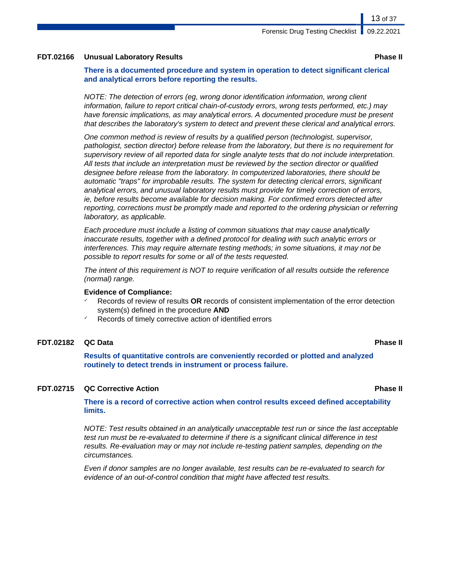#### **FDT.02166 Unusual Laboratory Results Phase II**

**There is a documented procedure and system in operation to detect significant clerical and analytical errors before reporting the results.**

NOTE: The detection of errors (eg, wrong donor identification information, wrong client information, failure to report critical chain-of-custody errors, wrong tests performed, etc.) may have forensic implications, as may analytical errors. A documented procedure must be present that describes the laboratory's system to detect and prevent these clerical and analytical errors.

One common method is review of results by a qualified person (technologist, supervisor, pathologist, section director) before release from the laboratory, but there is no requirement for supervisory review of all reported data for single analyte tests that do not include interpretation. All tests that include an interpretation must be reviewed by the section director or qualified designee before release from the laboratory. In computerized laboratories, there should be automatic "traps" for improbable results. The system for detecting clerical errors, significant analytical errors, and unusual laboratory results must provide for timely correction of errors, ie, before results become available for decision making. For confirmed errors detected after reporting, corrections must be promptly made and reported to the ordering physician or referring laboratory, as applicable.

Each procedure must include a listing of common situations that may cause analytically inaccurate results, together with a defined protocol for dealing with such analytic errors or interferences. This may require alternate testing methods; in some situations, it may not be possible to report results for some or all of the tests requested.

The intent of this requirement is NOT to require verification of all results outside the reference (normal) range.

#### **Evidence of Compliance:**

- ✓ Records of review of results **OR** records of consistent implementation of the error detection system(s) defined in the procedure **AND**
- Records of timely corrective action of identified errors

#### **FDT.02182 QC Data Phase II**

**Results of quantitative controls are conveniently recorded or plotted and analyzed routinely to detect trends in instrument or process failure.**

#### **FDT.02715 QC Corrective Action Phase II**

**There is a record of corrective action when control results exceed defined acceptability limits.**

NOTE: Test results obtained in an analytically unacceptable test run or since the last acceptable test run must be re-evaluated to determine if there is a significant clinical difference in test results. Re-evaluation may or may not include re-testing patient samples, depending on the circumstances.

Even if donor samples are no longer available, test results can be re-evaluated to search for evidence of an out-of-control condition that might have affected test results.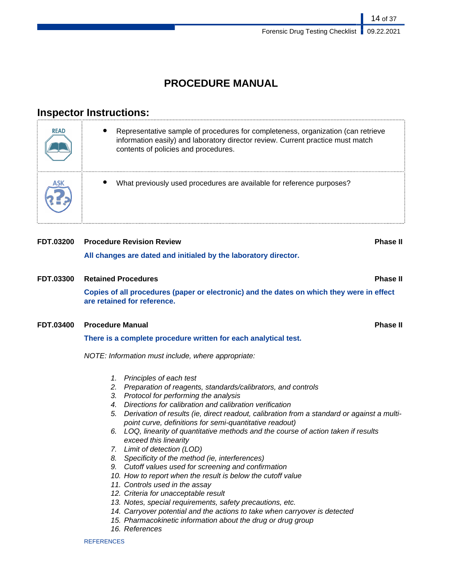## **PROCEDURE MANUAL**

## **Inspector Instructions:**

| <b>READ</b> | Representative sample of procedures for completeness, organization (can retrieve<br>information easily) and laboratory director review. Current practice must match<br>contents of policies and procedures. |
|-------------|-------------------------------------------------------------------------------------------------------------------------------------------------------------------------------------------------------------|
|             | What previously used procedures are available for reference purposes?                                                                                                                                       |

# **FDT.03200 Procedure Revision Review Phase II All changes are dated and initialed by the laboratory director.**

**FDT.03300 Retained Procedures Phase II Copies of all procedures (paper or electronic) and the dates on which they were in effect are retained for reference.**

### **FDT.03400 Procedure Manual Phase II**

**There is a complete procedure written for each analytical test.**

NOTE: Information must include, where appropriate:

- 1. Principles of each test
- 2. Preparation of reagents, standards/calibrators, and controls
- 3. Protocol for performing the analysis
- 4. Directions for calibration and calibration verification
- 5. Derivation of results (ie, direct readout, calibration from a standard or against a multipoint curve, definitions for semi-quantitative readout)
- 6. LOQ, linearity of quantitative methods and the course of action taken if results exceed this linearity
- 7. Limit of detection (LOD)
- 8. Specificity of the method (ie, interferences)
- 9. Cutoff values used for screening and confirmation
- 10. How to report when the result is below the cutoff value
- 11. Controls used in the assay
- 12. Criteria for unacceptable result
- 13. Notes, special requirements, safety precautions, etc.
- 14. Carryover potential and the actions to take when carryover is detected
- 15. Pharmacokinetic information about the drug or drug group
- 16. References

**REFERENCES**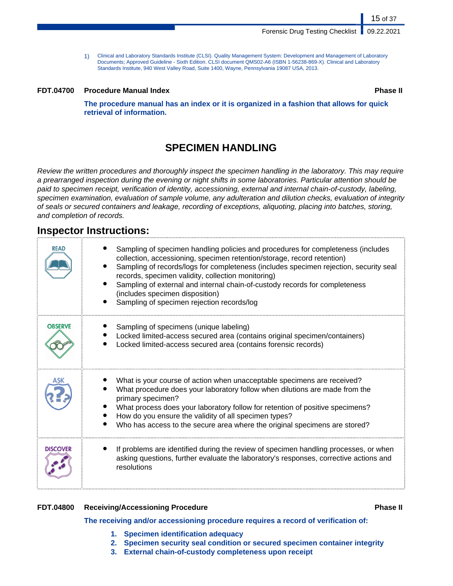1) Clinical and Laboratory Standards Institute (CLSI). Quality Management System: Development and Management of Laboratory Documents; Approved Guideline - Sixth Edition. CLSI document QMS02-A6 (ISBN 1-56238-869-X). Clinical and Laboratory Standards Institute, 940 West Valley Road, Suite 1400, Wayne, Pennsylvania 19087 USA, 2013.

#### **FDT.04700 Procedure Manual Index Phase II**

15 of 37

**The procedure manual has an index or it is organized in a fashion that allows for quick retrieval of information.**

## **SPECIMEN HANDLING**

Review the written procedures and thoroughly inspect the specimen handling in the laboratory. This may require a prearranged inspection during the evening or night shifts in some laboratories. Particular attention should be paid to specimen receipt, verification of identity, accessioning, external and internal chain-of-custody, labeling, specimen examination, evaluation of sample volume, any adulteration and dilution checks, evaluation of integrity of seals or secured containers and leakage, recording of exceptions, aliquoting, placing into batches, storing, and completion of records.

## **Inspector Instructions:**

| READ            | Sampling of specimen handling policies and procedures for completeness (includes<br>collection, accessioning, specimen retention/storage, record retention)<br>Sampling of records/logs for completeness (includes specimen rejection, security seal<br>records, specimen validity, collection monitoring)<br>Sampling of external and internal chain-of-custody records for completeness<br>(includes specimen disposition)<br>Sampling of specimen rejection records/log |
|-----------------|----------------------------------------------------------------------------------------------------------------------------------------------------------------------------------------------------------------------------------------------------------------------------------------------------------------------------------------------------------------------------------------------------------------------------------------------------------------------------|
| <b>OBSERVE</b>  | Sampling of specimens (unique labeling)<br>Locked limited-access secured area (contains original specimen/containers)<br>Locked limited-access secured area (contains forensic records)                                                                                                                                                                                                                                                                                    |
|                 | What is your course of action when unacceptable specimens are received?<br>What procedure does your laboratory follow when dilutions are made from the<br>primary specimen?<br>What process does your laboratory follow for retention of positive specimens?<br>How do you ensure the validity of all specimen types?<br>Who has access to the secure area where the original specimens are stored?                                                                        |
| <b>DISCOVER</b> | If problems are identified during the review of specimen handling processes, or when<br>asking questions, further evaluate the laboratory's responses, corrective actions and<br>resolutions                                                                                                                                                                                                                                                                               |

### **FDT.04800 Receiving/Accessioning Procedure Phase II**

#### **The receiving and/or accessioning procedure requires a record of verification of:**

- **1. Specimen identification adequacy**
- **2. Specimen security seal condition or secured specimen container integrity**
- **3. External chain-of-custody completeness upon receipt**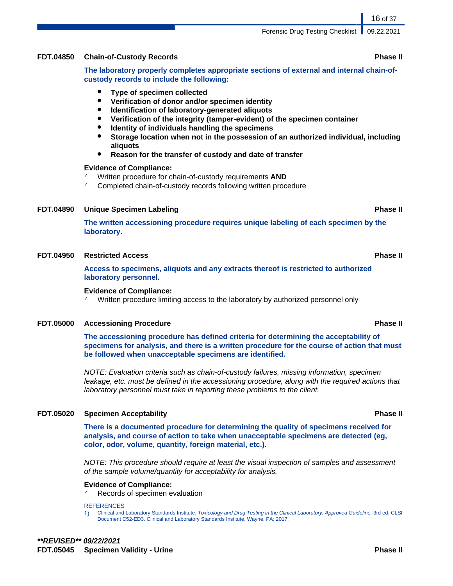### **FDT.04850 Chain-of-Custody Records Phase II**

**The laboratory properly completes appropriate sections of external and internal chain-ofcustody records to include the following:**

- **Type of specimen collected**
- **Verification of donor and/or specimen identity**
- **Identification of laboratory-generated aliquots**
- **Verification of the integrity (tamper-evident) of the specimen container**
- **Identity of individuals handling the specimens**
- **Storage location when not in the possession of an authorized individual, including aliquots**
- **Reason for the transfer of custody and date of transfer**

#### **Evidence of Compliance:**

- Written procedure for chain-of-custody requirements **AND**
- ✓ Completed chain-of-custody records following written procedure

### **FDT.04890 Unique Specimen Labeling Phase II**

**The written accessioning procedure requires unique labeling of each specimen by the laboratory.**

#### **FDT.04950 Restricted Access Phase II**

**Access to specimens, aliquots and any extracts thereof is restricted to authorized laboratory personnel.**

#### **Evidence of Compliance:**

Written procedure limiting access to the laboratory by authorized personnel only

#### **FDT.05000 Accessioning Procedure Phase II**

**The accessioning procedure has defined criteria for determining the acceptability of specimens for analysis, and there is a written procedure for the course of action that must be followed when unacceptable specimens are identified.**

NOTE: Evaluation criteria such as chain-of-custody failures, missing information, specimen leakage, etc. must be defined in the accessioning procedure, along with the required actions that laboratory personnel must take in reporting these problems to the client.

#### **FDT.05020 Specimen Acceptability Phase II**

**There is a documented procedure for determining the quality of specimens received for analysis, and course of action to take when unacceptable specimens are detected (eg, color, odor, volume, quantity, foreign material, etc.).**

NOTE: This procedure should require at least the visual inspection of samples and assessment of the sample volume/quantity for acceptability for analysis.

#### **Evidence of Compliance:**

Records of specimen evaluation

#### **REFERENCES**

1) Clinical and Laboratory Standards Institute. Toxicology and Drug Testing in the Clinical Laboratory; Approved Guideline. 3rd ed. CLSI Document C52-ED3. Clinical and Laboratory Standards Institute, Wayne, PA; 2017.

#### 16 of 37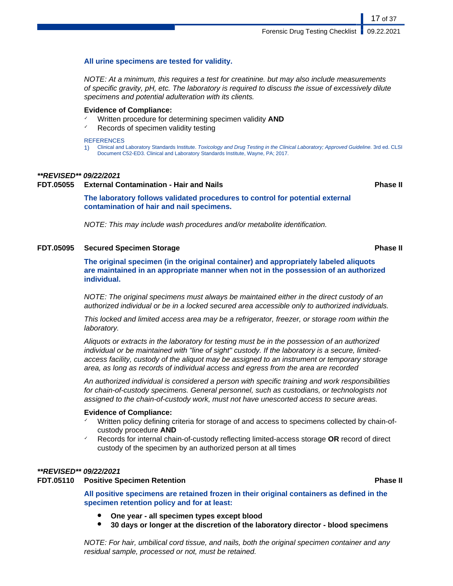#### **All urine specimens are tested for validity.**

NOTE: At a minimum, this requires a test for creatinine. but may also include measurements of specific gravity, pH, etc. The laboratory is required to discuss the issue of excessively dilute specimens and potential adulteration with its clients.

#### **Evidence of Compliance:**

- Written procedure for determining specimen validity **AND**
- Records of specimen validity testing

#### **REFERENCES**

1) Clinical and Laboratory Standards Institute. Toxicology and Drug Testing in the Clinical Laboratory; Approved Guideline. 3rd ed. CLSI Document C52-ED3. Clinical and Laboratory Standards Institute, Wayne, PA; 2017.

#### **\*\*REVISED\*\* 09/22/2021**

#### **FDT.05055 External Contamination - Hair and Nails Phase II**

17 of 37

#### **The laboratory follows validated procedures to control for potential external contamination of hair and nail specimens.**

NOTE: This may include wash procedures and/or metabolite identification.

#### **FDT.05095 Secured Specimen Storage Phase II**

**The original specimen (in the original container) and appropriately labeled aliquots are maintained in an appropriate manner when not in the possession of an authorized individual.**

NOTE: The original specimens must always be maintained either in the direct custody of an authorized individual or be in a locked secured area accessible only to authorized individuals.

This locked and limited access area may be a refrigerator, freezer, or storage room within the laboratory.

Aliquots or extracts in the laboratory for testing must be in the possession of an authorized individual or be maintained with "line of sight" custody. If the laboratory is a secure, limitedaccess facility, custody of the aliquot may be assigned to an instrument or temporary storage area, as long as records of individual access and egress from the area are recorded

An authorized individual is considered a person with specific training and work responsibilities for chain-of-custody specimens. General personnel, such as custodians, or technologists not assigned to the chain-of-custody work, must not have unescorted access to secure areas.

#### **Evidence of Compliance:**

- Written policy defining criteria for storage of and access to specimens collected by chain-ofcustody procedure **AND**
- ✓ Records for internal chain-of-custody reflecting limited-access storage **OR** record of direct custody of the specimen by an authorized person at all times

#### **\*\*REVISED\*\* 09/22/2021**

#### **FDT.05110 Positive Specimen Retention Phase II**

**All positive specimens are retained frozen in their original containers as defined in the specimen retention policy and for at least:**

- **One year all specimen types except blood**
- **30 days or longer at the discretion of the laboratory director blood specimens**

NOTE: For hair, umbilical cord tissue, and nails, both the original specimen container and any residual sample, processed or not, must be retained.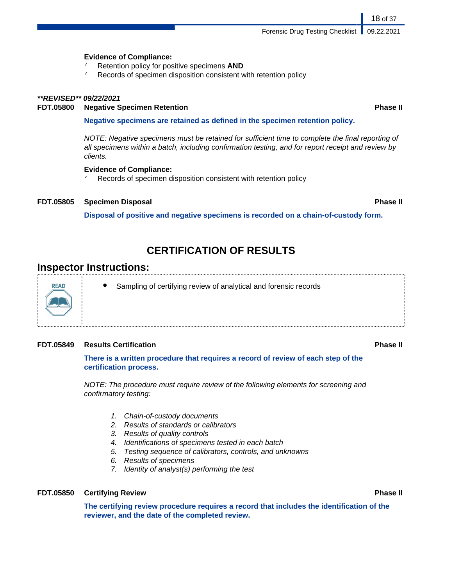Forensic Drug Testing Checklist | 09.22.2021

#### **Evidence of Compliance:**

- Retention policy for positive specimens **AND**
- $\sim$  Records of specimen disposition consistent with retention policy

#### **\*\*REVISED\*\* 09/22/2021**

#### **FDT.05800 Negative Specimen Retention Phase II**

#### **Negative specimens are retained as defined in the specimen retention policy.**

NOTE: Negative specimens must be retained for sufficient time to complete the final reporting of all specimens within a batch, including confirmation testing, and for report receipt and review by clients.

#### **Evidence of Compliance:**

Records of specimen disposition consistent with retention policy

#### **FDT.05805 Specimen Disposal Phase II**

**Disposal of positive and negative specimens is recorded on a chain-of-custody form.**

..................................

## **CERTIFICATION OF RESULTS**

### **Inspector Instructions:**

**READ** 

Sampling of certifying review of analytical and forensic records

#### **FDT.05849 Results Certification Phase II**

#### **There is a written procedure that requires a record of review of each step of the certification process.**

NOTE: The procedure must require review of the following elements for screening and confirmatory testing:

- 1. Chain-of-custody documents
- 2. Results of standards or calibrators
- 3. Results of quality controls
- 4. Identifications of specimens tested in each batch
- 5. Testing sequence of calibrators, controls, and unknowns
- 6. Results of specimens
- 7. Identity of analyst(s) performing the test

#### **FDT.05850 Certifying Review Phase II**

**The certifying review procedure requires a record that includes the identification of the reviewer, and the date of the completed review.**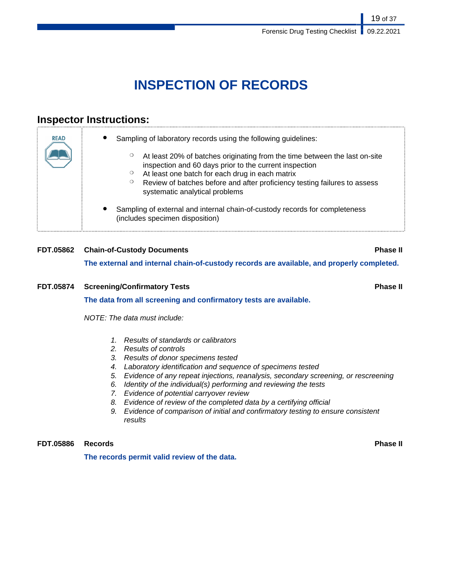# **INSPECTION OF RECORDS**

## **Inspector Instructions:**

| <b>READ</b> | Sampling of laboratory records using the following guidelines:                                                                                                                                                                                                                             |
|-------------|--------------------------------------------------------------------------------------------------------------------------------------------------------------------------------------------------------------------------------------------------------------------------------------------|
|             | At least 20% of batches originating from the time between the last on-site<br>inspection and 60 days prior to the current inspection<br>At least one batch for each drug in each matrix<br>$\circ$<br>Review of batches before and after proficiency testing failures to assess<br>$\circ$ |
|             | systematic analytical problems                                                                                                                                                                                                                                                             |
|             | Sampling of external and internal chain-of-custody records for completeness<br>(includes specimen disposition)                                                                                                                                                                             |

## **FDT.05862 Chain-of-Custody Documents Phase II The external and internal chain-of-custody records are available, and properly completed.**

## **FDT.05874 Screening/Confirmatory Tests Phase II The data from all screening and confirmatory tests are available.** NOTE: The data must include:

- 1. Results of standards or calibrators
- 2. Results of controls
- 3. Results of donor specimens tested
- 4. Laboratory identification and sequence of specimens tested
- 5. Evidence of any repeat injections, reanalysis, secondary screening, or rescreening
- 6. Identity of the individual(s) performing and reviewing the tests
- 7. Evidence of potential carryover review
- 8. Evidence of review of the completed data by a certifying official
- 9. Evidence of comparison of initial and confirmatory testing to ensure consistent results

**FDT.05886 Records Phase II**

**The records permit valid review of the data.**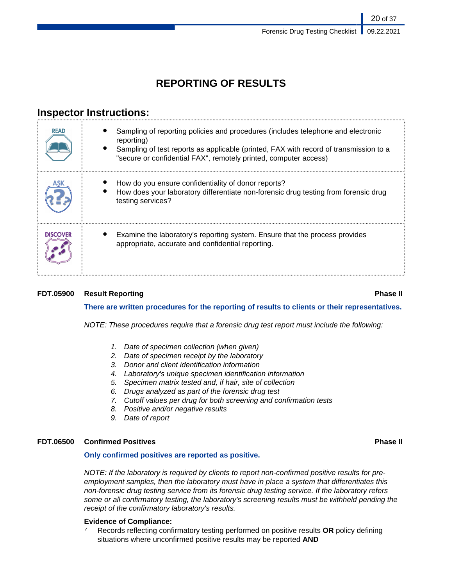20 of 37

## **REPORTING OF RESULTS**

## **Inspector Instructions:**

| <b>READ</b>     | Sampling of reporting policies and procedures (includes telephone and electronic<br>reporting)<br>Sampling of test reports as applicable (printed, FAX with record of transmission to a<br>"secure or confidential FAX", remotely printed, computer access) |
|-----------------|-------------------------------------------------------------------------------------------------------------------------------------------------------------------------------------------------------------------------------------------------------------|
|                 | How do you ensure confidentiality of donor reports?<br>How does your laboratory differentiate non-forensic drug testing from forensic drug<br>testing services?                                                                                             |
| <b>DISCOVER</b> | Examine the laboratory's reporting system. Ensure that the process provides<br>appropriate, accurate and confidential reporting.                                                                                                                            |

### **FDT.05900 Result Reporting Phase II**

### **There are written procedures for the reporting of results to clients or their representatives.**

NOTE: These procedures require that a forensic drug test report must include the following:

- 1. Date of specimen collection (when given)
- 2. Date of specimen receipt by the laboratory
- 3. Donor and client identification information
- 4. Laboratory's unique specimen identification information
- 5. Specimen matrix tested and, if hair, site of collection
- 6. Drugs analyzed as part of the forensic drug test
- 7. Cutoff values per drug for both screening and confirmation tests
- 8. Positive and/or negative results
- 9. Date of report

### **FDT.06500 Confirmed Positives Phase II**

#### **Only confirmed positives are reported as positive.**

NOTE: If the laboratory is required by clients to report non-confirmed positive results for preemployment samples, then the laboratory must have in place a system that differentiates this non-forensic drug testing service from its forensic drug testing service. If the laboratory refers some or all confirmatory testing, the laboratory's screening results must be withheld pending the receipt of the confirmatory laboratory's results.

#### **Evidence of Compliance:**

✓ Records reflecting confirmatory testing performed on positive results **OR** policy defining situations where unconfirmed positive results may be reported **AND**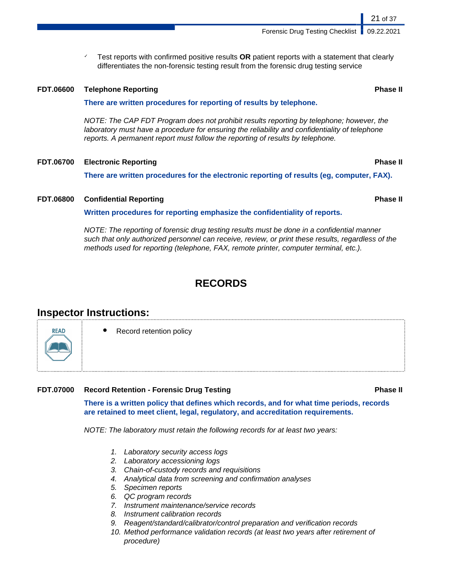Test reports with confirmed positive results **OR** patient reports with a statement that clearly differentiates the non-forensic testing result from the forensic drug testing service

#### **FDT.06600 Telephone Reporting Phase II**

#### **There are written procedures for reporting of results by telephone.**

NOTE: The CAP FDT Program does not prohibit results reporting by telephone; however, the laboratory must have a procedure for ensuring the reliability and confidentiality of telephone reports. A permanent report must follow the reporting of results by telephone.

#### **FDT.06700 Electronic Reporting Phase II**

**There are written procedures for the electronic reporting of results (eg, computer, FAX).**

#### **FDT.06800 Confidential Reporting Phase II**

**Written procedures for reporting emphasize the confidentiality of reports.**

NOTE: The reporting of forensic drug testing results must be done in a confidential manner such that only authorized personnel can receive, review, or print these results, regardless of the methods used for reporting (telephone, FAX, remote printer, computer terminal, etc.).

## **RECORDS**

## **Inspector Instructions:**

**Record retention policy** 

#### **FDT.07000 Record Retention - Forensic Drug Testing Phase II**

**There is a written policy that defines which records, and for what time periods, records are retained to meet client, legal, regulatory, and accreditation requirements.**

NOTE: The laboratory must retain the following records for at least two years:

- 1. Laboratory security access logs
- 2. Laboratory accessioning logs
- 3. Chain-of-custody records and requisitions
- 4. Analytical data from screening and confirmation analyses
- 5. Specimen reports
- 6. QC program records
- 7. Instrument maintenance/service records
- 8. Instrument calibration records
- 9. Reagent/standard/calibrator/control preparation and verification records
- 10. Method performance validation records (at least two years after retirement of procedure)



21 of 37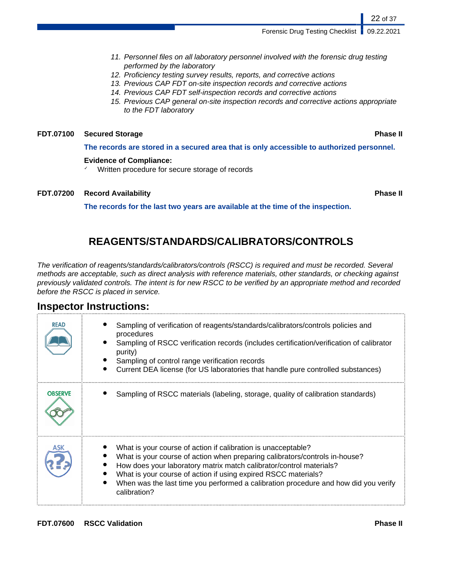Forensic Drug Testing Checklist | 09.22.2021

- 11. Personnel files on all laboratory personnel involved with the forensic drug testing performed by the laboratory
- 12. Proficiency testing survey results, reports, and corrective actions
- 13. Previous CAP FDT on-site inspection records and corrective actions
- 14. Previous CAP FDT self-inspection records and corrective actions
- 15. Previous CAP general on-site inspection records and corrective actions appropriate to the FDT laboratory

### **FDT.07100 Secured Storage Phase II**

**The records are stored in a secured area that is only accessible to authorized personnel.**

#### **Evidence of Compliance:**

Written procedure for secure storage of records

#### **FDT.07200 Record Availability Phase II**

22 of 37

**The records for the last two years are available at the time of the inspection.**

## **REAGENTS/STANDARDS/CALIBRATORS/CONTROLS**

The verification of reagents/standards/calibrators/controls (RSCC) is required and must be recorded. Several methods are acceptable, such as direct analysis with reference materials, other standards, or checking against previously validated controls. The intent is for new RSCC to be verified by an appropriate method and recorded before the RSCC is placed in service.

### **Inspector Instructions:**

| <b>READ</b>    | Sampling of verification of reagents/standards/calibrators/controls policies and<br>procedures<br>Sampling of RSCC verification records (includes certification/verification of calibrator<br>purity)<br>Sampling of control range verification records<br>Current DEA license (for US laboratories that handle pure controlled substances)                                                  |
|----------------|----------------------------------------------------------------------------------------------------------------------------------------------------------------------------------------------------------------------------------------------------------------------------------------------------------------------------------------------------------------------------------------------|
| <b>OBSERVE</b> | Sampling of RSCC materials (labeling, storage, quality of calibration standards)                                                                                                                                                                                                                                                                                                             |
|                | What is your course of action if calibration is unacceptable?<br>What is your course of action when preparing calibrators/controls in-house?<br>How does your laboratory matrix match calibrator/control materials?<br>What is your course of action if using expired RSCC materials?<br>When was the last time you performed a calibration procedure and how did you verify<br>calibration? |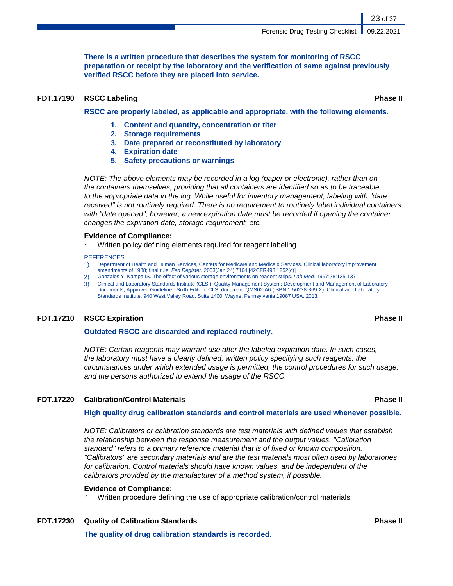**There is a written procedure that describes the system for monitoring of RSCC preparation or receipt by the laboratory and the verification of same against previously verified RSCC before they are placed into service.**

#### **FDT.17190 RSCC Labeling Phase II**

23 of 37

**RSCC are properly labeled, as applicable and appropriate, with the following elements.**

- **1. Content and quantity, concentration or titer**
- **2. Storage requirements**
- **3. Date prepared or reconstituted by laboratory**
- **4. Expiration date**
- **5. Safety precautions or warnings**

NOTE: The above elements may be recorded in a log (paper or electronic), rather than on the containers themselves, providing that all containers are identified so as to be traceable to the appropriate data in the log. While useful for inventory management, labeling with "date received" is not routinely required. There is no requirement to routinely label individual containers with "date opened"; however, a new expiration date must be recorded if opening the container changes the expiration date, storage requirement, etc.

#### **Evidence of Compliance:**

Written policy defining elements required for reagent labeling

#### **REFERENCES**

- 1) Department of Health and Human Services, Centers for Medicare and Medicaid Services. Clinical laboratory improvement amendments of 1988; final rule. Fed Register. 2003(Jan 24):7164 [42CFR493.1252(c)]
- 2) Gonzales Y, Kampa IS. The effect of various storage environments on reagent strips. Lab Med. 1997;28:135-137
- 3) Clinical and Laboratory Standards Institute (CLSI). Quality Management System: Development and Management of Laboratory Documents; Approved Guideline - Sixth Edition. CLSI document QMS02-A6 (ISBN 1-56238-869-X). Clinical and Laboratory Standards Institute, 940 West Valley Road, Suite 1400, Wayne, Pennsylvania 19087 USA, 2013.

#### **FDT.17210 RSCC Expiration Phase II**

#### **Outdated RSCC are discarded and replaced routinely.**

NOTE: Certain reagents may warrant use after the labeled expiration date. In such cases, the laboratory must have a clearly defined, written policy specifying such reagents, the circumstances under which extended usage is permitted, the control procedures for such usage, and the persons authorized to extend the usage of the RSCC.

#### **FDT.17220 Calibration/Control Materials Phase II**

#### **High quality drug calibration standards and control materials are used whenever possible.**

NOTE: Calibrators or calibration standards are test materials with defined values that establish the relationship between the response measurement and the output values. "Calibration standard" refers to a primary reference material that is of fixed or known composition. "Calibrators" are secondary materials and are the test materials most often used by laboratories for calibration. Control materials should have known values, and be independent of the calibrators provided by the manufacturer of a method system, if possible.

#### **Evidence of Compliance:**

Written procedure defining the use of appropriate calibration/control materials

**The quality of drug calibration standards is recorded.**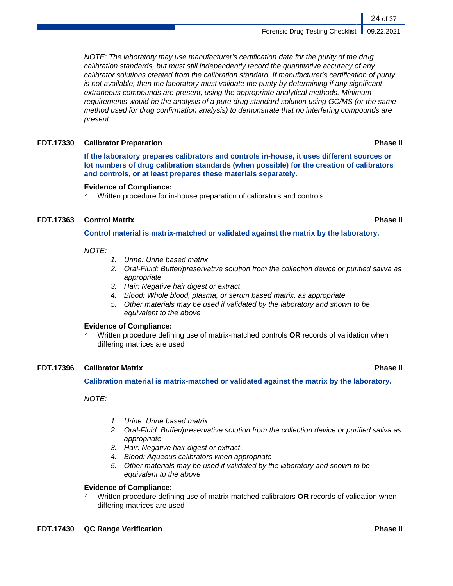NOTE: The laboratory may use manufacturer's certification data for the purity of the drug calibration standards, but must still independently record the quantitative accuracy of any calibrator solutions created from the calibration standard. If manufacturer's certification of purity is not available, then the laboratory must validate the purity by determining if any significant extraneous compounds are present, using the appropriate analytical methods. Minimum requirements would be the analysis of a pure drug standard solution using GC/MS (or the same method used for drug confirmation analysis) to demonstrate that no interfering compounds are present.

#### **FDT.17330 Calibrator Preparation Phase II**

**If the laboratory prepares calibrators and controls in-house, it uses different sources or lot numbers of drug calibration standards (when possible) for the creation of calibrators and controls, or at least prepares these materials separately.**

#### **Evidence of Compliance:**

✓ Written procedure for in-house preparation of calibrators and controls

### **FDT.17363 Control Matrix Phase II**

**Control material is matrix-matched or validated against the matrix by the laboratory.**

#### NOTE:

- 1. Urine: Urine based matrix
- 2. Oral-Fluid: Buffer/preservative solution from the collection device or purified saliva as appropriate
- 3. Hair: Negative hair digest or extract
- 4. Blood: Whole blood, plasma, or serum based matrix, as appropriate
- 5. Other materials may be used if validated by the laboratory and shown to be equivalent to the above

#### **Evidence of Compliance:**

✓ Written procedure defining use of matrix-matched controls **OR** records of validation when differing matrices are used

#### **FDT.17396 Calibrator Matrix Phase II**

#### **Calibration material is matrix-matched or validated against the matrix by the laboratory.**

NOTE:

- 1. Urine: Urine based matrix
- 2. Oral-Fluid: Buffer/preservative solution from the collection device or purified saliva as appropriate
- 3. Hair: Negative hair digest or extract
- 4. Blood: Aqueous calibrators when appropriate
- 5. Other materials may be used if validated by the laboratory and shown to be equivalent to the above

#### **Evidence of Compliance:**

✓ Written procedure defining use of matrix-matched calibrators **OR** records of validation when differing matrices are used

24 of 37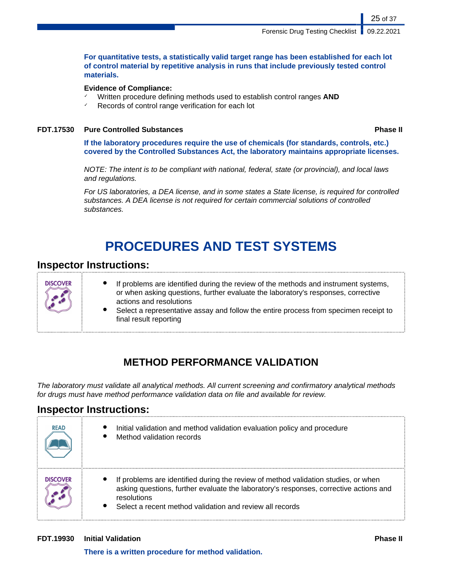#### **For quantitative tests, a statistically valid target range has been established for each lot of control material by repetitive analysis in runs that include previously tested control materials.**

#### **Evidence of Compliance:**

- Written procedure defining methods used to establish control ranges AND
- ✓ Records of control range verification for each lot

#### **FDT.17530 Pure Controlled Substances Phase II**

25 of 37

**If the laboratory procedures require the use of chemicals (for standards, controls, etc.) covered by the Controlled Substances Act, the laboratory maintains appropriate licenses.**

NOTE: The intent is to be compliant with national, federal, state (or provincial), and local laws and regulations.

For US laboratories, a DEA license, and in some states a State license, is required for controlled substances. A DEA license is not required for certain commercial solutions of controlled substances.

# **PROCEDURES AND TEST SYSTEMS**

## **Inspector Instructions:**



- If problems are identified during the review of the methods and instrument systems, or when asking questions, further evaluate the laboratory's responses, corrective actions and resolutions
- Select a representative assay and follow the entire process from specimen receipt to final result reporting

## **METHOD PERFORMANCE VALIDATION**

The laboratory must validate all analytical methods. All current screening and confirmatory analytical methods for drugs must have method performance validation data on file and available for review.

## **Inspector Instructions:**

| <b>READ</b>     | Initial validation and method validation evaluation policy and procedure<br>Method validation records                                                                                                                                                  |
|-----------------|--------------------------------------------------------------------------------------------------------------------------------------------------------------------------------------------------------------------------------------------------------|
| <b>DISCOVER</b> | If problems are identified during the review of method validation studies, or when<br>asking questions, further evaluate the laboratory's responses, corrective actions and<br>resolutions<br>Select a recent method validation and review all records |

### **FDT.19930 Initial Validation Phase II**

**There is a written procedure for method validation.**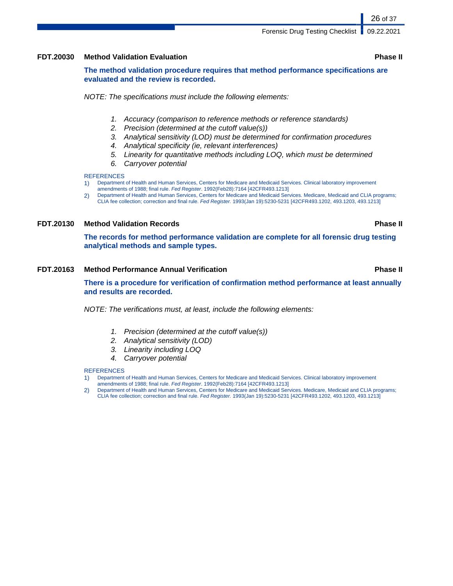#### **FDT.20030 Method Validation Evaluation Phase II**

**The method validation procedure requires that method performance specifications are evaluated and the review is recorded.**

NOTE: The specifications must include the following elements:

- 1. Accuracy (comparison to reference methods or reference standards)
- 2. Precision (determined at the cutoff value(s))
- 3. Analytical sensitivity (LOD) must be determined for confirmation procedures
- 4. Analytical specificity (ie, relevant interferences)
- 5. Linearity for quantitative methods including LOQ, which must be determined
- 6. Carryover potential

#### **REFERENCES**

- 1) Department of Health and Human Services, Centers for Medicare and Medicaid Services. Clinical laboratory improvement amendments of 1988; final rule. Fed Register. 1992(Feb28):7164 [42CFR493.1213]
- 2) Department of Health and Human Services, Centers for Medicare and Medicaid Services. Medicare, Medicaid and CLIA programs; CLIA fee collection; correction and final rule. Fed Register. 1993(Jan 19):5230-5231 [42CFR493.1202, 493.1203, 493.1213]

### **FDT.20130 Method Validation Records Phase II**

**The records for method performance validation are complete for all forensic drug testing analytical methods and sample types.**

#### **FDT.20163 Method Performance Annual Verification Phase II**

**There is a procedure for verification of confirmation method performance at least annually and results are recorded.**

NOTE: The verifications must, at least, include the following elements:

- 1. Precision (determined at the cutoff value(s))
- 2. Analytical sensitivity (LOD)
- 3. Linearity including LOQ
- 4. Carryover potential

#### **REFERENCES**

- 1) Department of Health and Human Services, Centers for Medicare and Medicaid Services. Clinical laboratory improvement
- amendments of 1988; final rule. Fed Register. 1992(Feb28):7164 [42CFR493.1213]
- 2) Department of Health and Human Services, Centers for Medicare and Medicaid Services. Medicare, Medicaid and CLIA programs; CLIA fee collection; correction and final rule. Fed Register. 1993(Jan 19):5230-5231 [42CFR493.1202, 493.1203, 493.1213]

26 of 37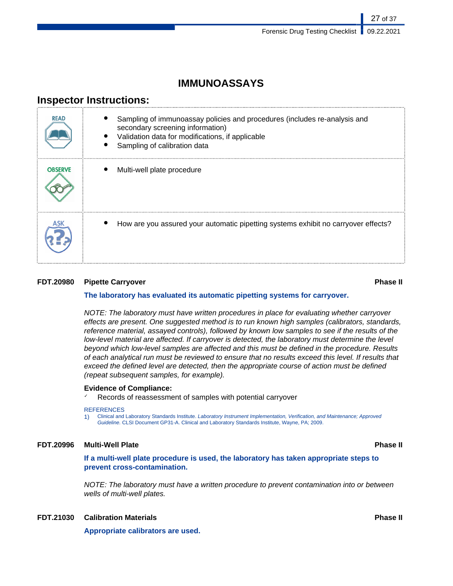## **IMMUNOASSAYS**

## **Inspector Instructions:**

| <b>READ</b>    | Sampling of immunoassay policies and procedures (includes re-analysis and<br>secondary screening information)<br>Validation data for modifications, if applicable<br>Sampling of calibration data |
|----------------|---------------------------------------------------------------------------------------------------------------------------------------------------------------------------------------------------|
| <b>OBSERVE</b> | Multi-well plate procedure                                                                                                                                                                        |
|                | How are you assured your automatic pipetting systems exhibit no carryover effects?                                                                                                                |

### **FDT.20980 Pipette Carryover Phase II**

#### **The laboratory has evaluated its automatic pipetting systems for carryover.**

NOTE: The laboratory must have written procedures in place for evaluating whether carryover effects are present. One suggested method is to run known high samples (calibrators, standards, reference material, assayed controls), followed by known low samples to see if the results of the low-level material are affected. If carryover is detected, the laboratory must determine the level beyond which low-level samples are affected and this must be defined in the procedure. Results of each analytical run must be reviewed to ensure that no results exceed this level. If results that exceed the defined level are detected, then the appropriate course of action must be defined (repeat subsequent samples, for example).

#### **Evidence of Compliance:**

Records of reassessment of samples with potential carryover

#### **REFERENCES**

1) Clinical and Laboratory Standards Institute. Laboratory Instrument Implementation, Verification, and Maintenance; Approved Guideline. CLSI Document GP31-A. Clinical and Laboratory Standards Institute, Wayne, PA; 2009.

### **FDT.20996 Multi-Well Plate Phase II**

**If a multi-well plate procedure is used, the laboratory has taken appropriate steps to prevent cross-contamination.**

NOTE: The laboratory must have a written procedure to prevent contamination into or between wells of multi-well plates.

### **FDT.21030 Calibration Materials Phase II**

**Appropriate calibrators are used.**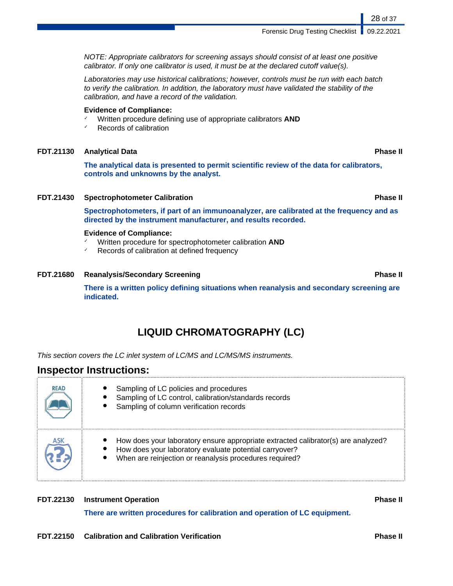Forensic Drug Testing Checklist | 09.22.2021

NOTE: Appropriate calibrators for screening assays should consist of at least one positive calibrator. If only one calibrator is used, it must be at the declared cutoff value(s).

Laboratories may use historical calibrations; however, controls must be run with each batch to verify the calibration. In addition, the laboratory must have validated the stability of the calibration, and have a record of the validation.

#### **Evidence of Compliance:**

- ✓ Written procedure defining use of appropriate calibrators **AND**
- ✓ Records of calibration

#### **FDT.21130 Analytical Data Phase II**

**The analytical data is presented to permit scientific review of the data for calibrators, controls and unknowns by the analyst.**

#### **FDT.21430 Spectrophotometer Calibration Phase II**

**Spectrophotometers, if part of an immunoanalyzer, are calibrated at the frequency and as directed by the instrument manufacturer, and results recorded.**

#### **Evidence of Compliance:**

- ✓ Written procedure for spectrophotometer calibration **AND**
- Records of calibration at defined frequency

#### **FDT.21680 Reanalysis/Secondary Screening Phase II**

**There is a written policy defining situations when reanalysis and secondary screening are indicated.**

## **LIQUID CHROMATOGRAPHY (LC)**

This section covers the LC inlet system of LC/MS and LC/MS/MS instruments.

### **Inspector Instructions:**

| <b>READ</b> | Sampling of LC policies and procedures<br>Sampling of LC control, calibration/standards records<br>Sampling of column verification records                                                             |
|-------------|--------------------------------------------------------------------------------------------------------------------------------------------------------------------------------------------------------|
| ASK         | How does your laboratory ensure appropriate extracted calibrator(s) are analyzed?<br>How does your laboratory evaluate potential carryover?<br>When are reinjection or reanalysis procedures required? |

#### **FDT.22130 Instrument Operation Phase II**

**There are written procedures for calibration and operation of LC equipment.**

**FDT.22150 Calibration and Calibration Verification Phase II**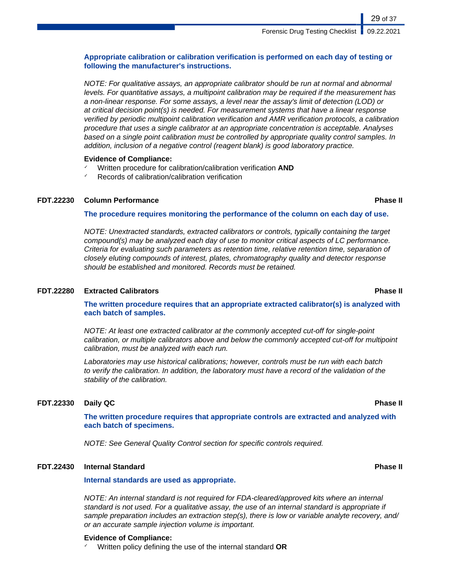### **Appropriate calibration or calibration verification is performed on each day of testing or following the manufacturer's instructions.**

NOTE: For qualitative assays, an appropriate calibrator should be run at normal and abnormal levels. For quantitative assays, a multipoint calibration may be required if the measurement has a non-linear response. For some assays, a level near the assay's limit of detection (LOD) or at critical decision point(s) is needed. For measurement systems that have a linear response verified by periodic multipoint calibration verification and AMR verification protocols, a calibration procedure that uses a single calibrator at an appropriate concentration is acceptable. Analyses based on a single point calibration must be controlled by appropriate quality control samples. In addition, inclusion of a negative control (reagent blank) is good laboratory practice.

#### **Evidence of Compliance:**

- ✓ Written procedure for calibration/calibration verification **AND**
- ✓ Records of calibration/calibration verification

### **FDT.22230 Column Performance Phase II**

#### **The procedure requires monitoring the performance of the column on each day of use.**

NOTE: Unextracted standards, extracted calibrators or controls, typically containing the target compound(s) may be analyzed each day of use to monitor critical aspects of LC performance. Criteria for evaluating such parameters as retention time, relative retention time, separation of closely eluting compounds of interest, plates, chromatography quality and detector response should be established and monitored. Records must be retained.

#### **FDT.22280 Extracted Calibrators Phase II**

**The written procedure requires that an appropriate extracted calibrator(s) is analyzed with each batch of samples.**

NOTE: At least one extracted calibrator at the commonly accepted cut-off for single-point calibration, or multiple calibrators above and below the commonly accepted cut-off for multipoint calibration, must be analyzed with each run.

Laboratories may use historical calibrations; however, controls must be run with each batch to verify the calibration. In addition, the laboratory must have a record of the validation of the stability of the calibration.

#### **FDT.22330 Daily QC Phase II**

**The written procedure requires that appropriate controls are extracted and analyzed with each batch of specimens.**

NOTE: See General Quality Control section for specific controls required.

#### **FDT.22430 Internal Standard Phase II**

#### **Internal standards are used as appropriate.**

NOTE: An internal standard is not required for FDA-cleared/approved kits where an internal standard is not used. For a qualitative assay, the use of an internal standard is appropriate if sample preparation includes an extraction step(s), there is low or variable analyte recovery, and/ or an accurate sample injection volume is important.

#### **Evidence of Compliance:**

✓ Written policy defining the use of the internal standard **OR**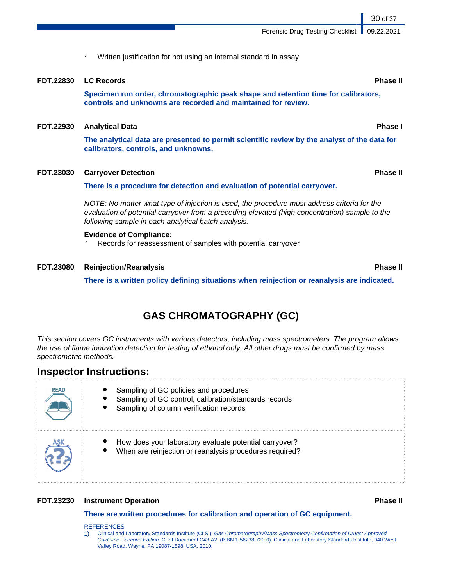✓ Written justification for not using an internal standard in assay

### **FDT.22830 LC Records Phase II**

**Specimen run order, chromatographic peak shape and retention time for calibrators, controls and unknowns are recorded and maintained for review.**

### **FDT.22930 Analytical Data Phase I**

**The analytical data are presented to permit scientific review by the analyst of the data for calibrators, controls, and unknowns.**

### **FDT.23030 Carryover Detection Phase II**

### **There is a procedure for detection and evaluation of potential carryover.**

NOTE: No matter what type of injection is used, the procedure must address criteria for the evaluation of potential carryover from a preceding elevated (high concentration) sample to the following sample in each analytical batch analysis.

### **Evidence of Compliance:**

✓ Records for reassessment of samples with potential carryover

### **FDT.23080 Reinjection/Reanalysis Phase II**

**There is a written policy defining situations when reinjection or reanalysis are indicated.**

# **GAS CHROMATOGRAPHY (GC)**

This section covers GC instruments with various detectors, including mass spectrometers. The program allows the use of flame ionization detection for testing of ethanol only. All other drugs must be confirmed by mass spectrometric methods.

## **Inspector Instructions:**

| <b>READ</b> | Sampling of GC policies and procedures<br>Sampling of GC control, calibration/standards records<br>Sampling of column verification records |
|-------------|--------------------------------------------------------------------------------------------------------------------------------------------|
|             | How does your laboratory evaluate potential carryover?<br>When are reinjection or reanalysis procedures required?                          |

### **FDT.23230 Instrument Operation Phase II**

### **There are written procedures for calibration and operation of GC equipment.**

#### REFERENCES

1) Clinical and Laboratory Standards Institute (CLSI). Gas Chromatography/Mass Spectrometry Confirmation of Drugs; Approved Guideline - Second Edition. CLSI Document C43-A2. (ISBN 1-56238-720-0). Clinical and Laboratory Standards Institute, 940 West Valley Road, Wayne, PA 19087-1898, USA, 2010.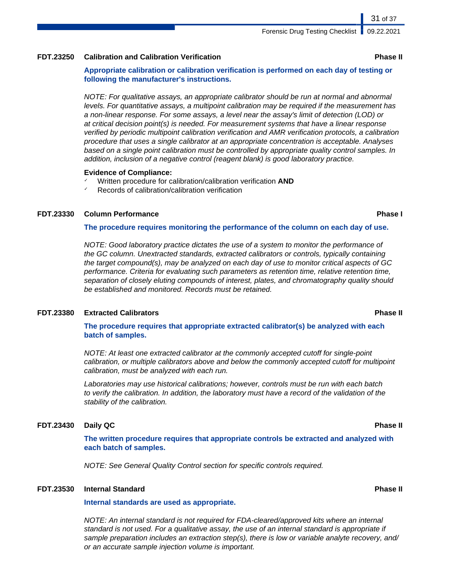#### **FDT.23250 Calibration and Calibration Verification Phase II**

**Appropriate calibration or calibration verification is performed on each day of testing or following the manufacturer's instructions.**

NOTE: For qualitative assays, an appropriate calibrator should be run at normal and abnormal levels. For quantitative assays, a multipoint calibration may be required if the measurement has a non-linear response. For some assays, a level near the assay's limit of detection (LOD) or at critical decision point(s) is needed. For measurement systems that have a linear response verified by periodic multipoint calibration verification and AMR verification protocols, a calibration procedure that uses a single calibrator at an appropriate concentration is acceptable. Analyses based on a single point calibration must be controlled by appropriate quality control samples. In addition, inclusion of a negative control (reagent blank) is good laboratory practice.

#### **Evidence of Compliance:**

- ✓ Written procedure for calibration/calibration verification **AND**
- ✓ Records of calibration/calibration verification

#### **FDT.23330 Column Performance Phase I**

#### **The procedure requires monitoring the performance of the column on each day of use.**

NOTE: Good laboratory practice dictates the use of a system to monitor the performance of the GC column. Unextracted standards, extracted calibrators or controls, typically containing the target compound(s), may be analyzed on each day of use to monitor critical aspects of GC performance. Criteria for evaluating such parameters as retention time, relative retention time, separation of closely eluting compounds of interest, plates, and chromatography quality should be established and monitored. Records must be retained.

#### **FDT.23380 Extracted Calibrators Phase II**

**The procedure requires that appropriate extracted calibrator(s) be analyzed with each batch of samples.**

NOTE: At least one extracted calibrator at the commonly accepted cutoff for single-point calibration, or multiple calibrators above and below the commonly accepted cutoff for multipoint calibration, must be analyzed with each run.

Laboratories may use historical calibrations; however, controls must be run with each batch to verify the calibration. In addition, the laboratory must have a record of the validation of the stability of the calibration.

#### **FDT.23430 Daily QC Phase II**

**The written procedure requires that appropriate controls be extracted and analyzed with each batch of samples.**

NOTE: See General Quality Control section for specific controls required.

#### **FDT.23530 Internal Standard Phase II**

**Internal standards are used as appropriate.**

NOTE: An internal standard is not required for FDA-cleared/approved kits where an internal standard is not used. For a qualitative assay, the use of an internal standard is appropriate if sample preparation includes an extraction step(s), there is low or variable analyte recovery, and/ or an accurate sample injection volume is important.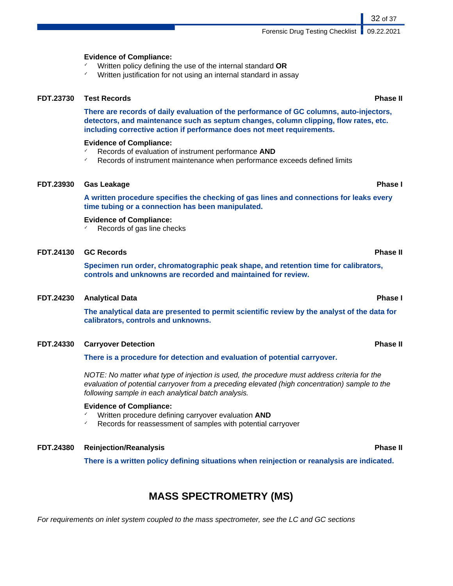Forensic Drug Testing Checklist | 09.22.2021

#### **Evidence of Compliance:**

- ✓ Written policy defining the use of the internal standard **OR**
- Written justification for not using an internal standard in assay

#### **FDT.23730 Test Records Phase II**

**There are records of daily evaluation of the performance of GC columns, auto-injectors, detectors, and maintenance such as septum changes, column clipping, flow rates, etc. including corrective action if performance does not meet requirements.**

#### **Evidence of Compliance:**

- ✓ Records of evaluation of instrument performance **AND**
- Records of instrument maintenance when performance exceeds defined limits

#### **FDT.23930 Gas Leakage Phase I**

**A written procedure specifies the checking of gas lines and connections for leaks every time tubing or a connection has been manipulated.**

#### **Evidence of Compliance:**

Records of gas line checks

#### **FDT.24130 GC Records Phase II**

**Specimen run order, chromatographic peak shape, and retention time for calibrators, controls and unknowns are recorded and maintained for review.**

#### **FDT.24230 Analytical Data Phase I**

**The analytical data are presented to permit scientific review by the analyst of the data for calibrators, controls and unknowns.**

#### **FDT.24330 Carryover Detection Phase II**

**There is a procedure for detection and evaluation of potential carryover.**

NOTE: No matter what type of injection is used, the procedure must address criteria for the evaluation of potential carryover from a preceding elevated (high concentration) sample to the following sample in each analytical batch analysis.

#### **Evidence of Compliance:**

- ✓ Written procedure defining carryover evaluation **AND**
- Records for reassessment of samples with potential carryover

#### **FDT.24380 Reinjection/Reanalysis Phase II**

**There is a written policy defining situations when reinjection or reanalysis are indicated.**

## **MASS SPECTROMETRY (MS)**

For requirements on inlet system coupled to the mass spectrometer, see the LC and GC sections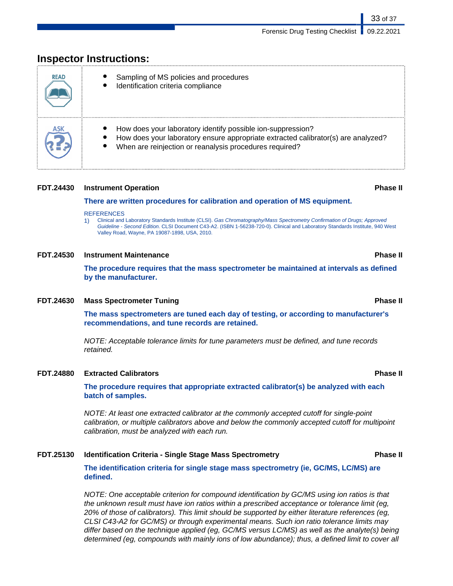# **READ** Sampling of MS policies and procedures Identification criteria compliance How does your laboratory identify possible ion-suppression? How does your laboratory ensure appropriate extracted calibrator(s) are analyzed? When are reinjection or reanalysis procedures required?

## **Inspector Instructions:**

#### **FDT.24430 Instrument Operation Phase II**

#### **There are written procedures for calibration and operation of MS equipment.**

#### **REFERENCES**

1) Clinical and Laboratory Standards Institute (CLSI). Gas Chromatography/Mass Spectrometry Confirmation of Drugs; Approved Guideline - Second Edition. CLSI Document C43-A2. (ISBN 1-56238-720-0). Clinical and Laboratory Standards Institute, 940 West Valley Road, Wayne, PA 19087-1898, USA, 2010.

#### **FDT.24530 Instrument Maintenance Phase II**

**The procedure requires that the mass spectrometer be maintained at intervals as defined by the manufacturer.**

#### **FDT.24630 Mass Spectrometer Tuning Phase II**

**The mass spectrometers are tuned each day of testing, or according to manufacturer's recommendations, and tune records are retained.**

NOTE: Acceptable tolerance limits for tune parameters must be defined, and tune records retained.

#### **FDT.24880 Extracted Calibrators Phase II**

**The procedure requires that appropriate extracted calibrator(s) be analyzed with each batch of samples.**

NOTE: At least one extracted calibrator at the commonly accepted cutoff for single-point calibration, or multiple calibrators above and below the commonly accepted cutoff for multipoint calibration, must be analyzed with each run.

#### **FDT.25130 Identification Criteria - Single Stage Mass Spectrometry Phase II**

**The identification criteria for single stage mass spectrometry (ie, GC/MS, LC/MS) are defined.**

NOTE: One acceptable criterion for compound identification by GC/MS using ion ratios is that the unknown result must have ion ratios within a prescribed acceptance or tolerance limit (eg, 20% of those of calibrators). This limit should be supported by either literature references (eg, CLSI C43-A2 for GC/MS) or through experimental means. Such ion ratio tolerance limits may differ based on the technique applied (eg, GC/MS versus LC/MS) as well as the analyte(s) being determined (eg, compounds with mainly ions of low abundance); thus, a defined limit to cover all

33 of 37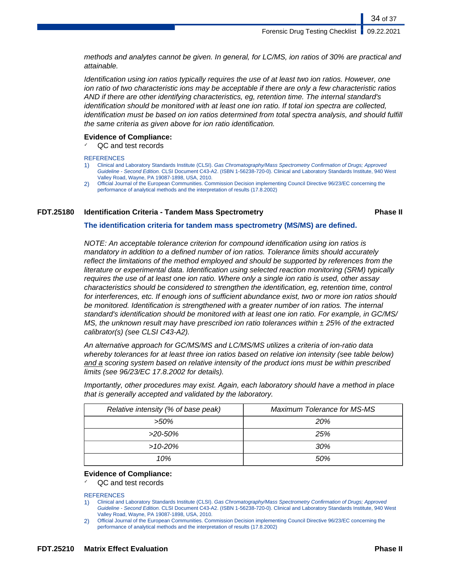methods and analytes cannot be given. In general, for LC/MS, ion ratios of 30% are practical and attainable.

Identification using ion ratios typically requires the use of at least two ion ratios. However, one ion ratio of two characteristic ions may be acceptable if there are only a few characteristic ratios AND if there are other identifying characteristics, eg, retention time. The internal standard's identification should be monitored with at least one ion ratio. If total ion spectra are collected, identification must be based on ion ratios determined from total spectra analysis, and should fulfill the same criteria as given above for ion ratio identification.

#### **Evidence of Compliance:**

QC and test records

**REFERENCES** 

- 1) Clinical and Laboratory Standards Institute (CLSI). Gas Chromatography/Mass Spectrometry Confirmation of Drugs; Approved Guideline - Second Edition. CLSI Document C43-A2. (ISBN 1-56238-720-0). Clinical and Laboratory Standards Institute, 940 West Valley Road, Wayne, PA 19087-1898, USA, 2010.
- 2) Official Journal of the European Communities. Commission Decision implementing Council Directive 96/23/EC concerning the performance of analytical methods and the interpretation of results (17.8.2002)

### **FDT.25180 Identification Criteria - Tandem Mass Spectrometry Phase II**

34 of 37

#### **The identification criteria for tandem mass spectrometry (MS/MS) are defined.**

NOTE: An acceptable tolerance criterion for compound identification using ion ratios is mandatory in addition to a defined number of ion ratios. Tolerance limits should accurately reflect the limitations of the method employed and should be supported by references from the literature or experimental data. Identification using selected reaction monitoring (SRM) typically requires the use of at least one ion ratio. Where only a single ion ratio is used, other assay characteristics should be considered to strengthen the identification, eg, retention time, control for interferences, etc. If enough ions of sufficient abundance exist, two or more ion ratios should be monitored. Identification is strengthened with a greater number of ion ratios. The internal standard's identification should be monitored with at least one ion ratio. For example, in GC/MS/ MS, the unknown result may have prescribed ion ratio tolerances within  $\pm$  25% of the extracted calibrator(s) (see CLSI C43-A2).

An alternative approach for GC/MS/MS and LC/MS/MS utilizes a criteria of ion-ratio data whereby tolerances for at least three ion ratios based on relative ion intensity (see table below) and a scoring system based on relative intensity of the product ions must be within prescribed limits (see 96/23/EC 17.8.2002 for details).

Importantly, other procedures may exist. Again, each laboratory should have a method in place that is generally accepted and validated by the laboratory.

| Relative intensity (% of base peak) | <b>Maximum Tolerance for MS-MS</b> |
|-------------------------------------|------------------------------------|
| $>50\%$                             | <b>20%</b>                         |
| >20-50%                             | 25%                                |
| $>10-20%$                           | 30%                                |
| 10%                                 | .50%                               |

#### **Evidence of Compliance:**

✓ QC and test records

**REFERENCES** 

1) Clinical and Laboratory Standards Institute (CLSI). Gas Chromatography/Mass Spectrometry Confirmation of Drugs; Approved Guideline - Second Edition. CLSI Document C43-A2. (ISBN 1-56238-720-0). Clinical and Laboratory Standards Institute, 940 West Valley Road, Wayne, PA 19087-1898, USA, 2010.

2) Official Journal of the European Communities. Commission Decision implementing Council Directive 96/23/EC concerning the performance of analytical methods and the interpretation of results (17.8.2002)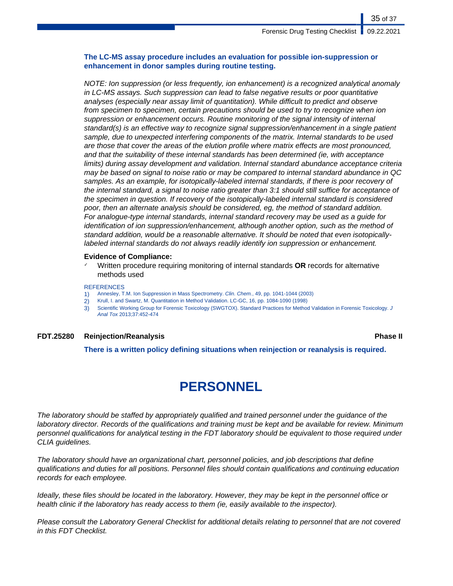35 of 37

### **The LC-MS assay procedure includes an evaluation for possible ion-suppression or enhancement in donor samples during routine testing.**

NOTE: Ion suppression (or less frequently, ion enhancement) is a recognized analytical anomaly in LC-MS assays. Such suppression can lead to false negative results or poor quantitative analyses (especially near assay limit of quantitation). While difficult to predict and observe from specimen to specimen, certain precautions should be used to try to recognize when ion suppression or enhancement occurs. Routine monitoring of the signal intensity of internal standard(s) is an effective way to recognize signal suppression/enhancement in a single patient sample, due to unexpected interfering components of the matrix. Internal standards to be used are those that cover the areas of the elution profile where matrix effects are most pronounced, and that the suitability of these internal standards has been determined (ie, with acceptance limits) during assay development and validation. Internal standard abundance acceptance criteria may be based on signal to noise ratio or may be compared to internal standard abundance in QC samples. As an example, for isotopically-labeled internal standards, if there is poor recovery of the internal standard, a signal to noise ratio greater than 3:1 should still suffice for acceptance of the specimen in question. If recovery of the isotopically-labeled internal standard is considered poor, then an alternate analysis should be considered, eg, the method of standard addition. For analogue-type internal standards, internal standard recovery may be used as a guide for identification of ion suppression/enhancement, although another option, such as the method of standard addition, would be a reasonable alternative. It should be noted that even isotopicallylabeled internal standards do not always readily identify ion suppression or enhancement.

#### **Evidence of Compliance:**

✓ Written procedure requiring monitoring of internal standards **OR** records for alternative methods used

#### **REFERENCES**

- 1) Annesley, T.M. Ion Suppression in Mass Spectrometry. Clin. Chem., 49, pp. 1041-1044 (2003)
- 2) Krull, I. and Swartz, M. Quantitation in Method Validation. LC-GC, 16, pp. 1084-1090 (1998)
- 3) Scientific Working Group for Forensic Toxicology (SWGTOX). Standard Practices for Method Validation in Forensic Toxicology. J Anal Tox 2013;37:452-474

### **FDT.25280 Reinjection/Reanalysis Phase II**

**There is a written policy defining situations when reinjection or reanalysis is required.**

# **PERSONNEL**

The laboratory should be staffed by appropriately qualified and trained personnel under the guidance of the laboratory director. Records of the qualifications and training must be kept and be available for review. Minimum personnel qualifications for analytical testing in the FDT laboratory should be equivalent to those required under CLIA guidelines.

The laboratory should have an organizational chart, personnel policies, and job descriptions that define qualifications and duties for all positions. Personnel files should contain qualifications and continuing education records for each employee.

Ideally, these files should be located in the laboratory. However, they may be kept in the personnel office or health clinic if the laboratory has ready access to them (ie, easily available to the inspector).

Please consult the Laboratory General Checklist for additional details relating to personnel that are not covered in this FDT Checklist.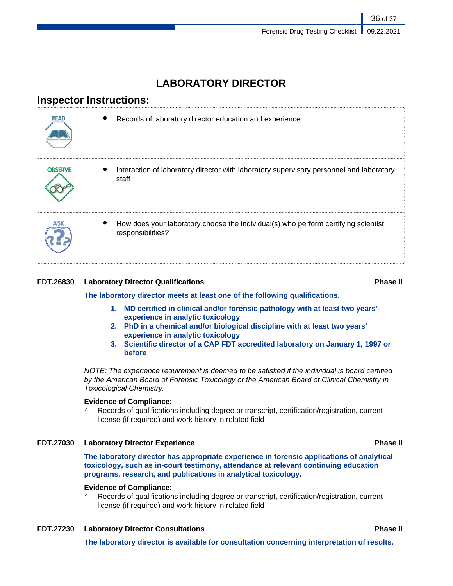## **LABORATORY DIRECTOR**

## **Inspector Instructions:**

| <b>READ</b>    | Records of laboratory director education and experience                                                 |
|----------------|---------------------------------------------------------------------------------------------------------|
| <b>OBSERVE</b> | Interaction of laboratory director with laboratory supervisory personnel and laboratory<br>staff        |
|                | How does your laboratory choose the individual(s) who perform certifying scientist<br>responsibilities? |

### **FDT.26830 Laboratory Director Qualifications Phase II**

**The laboratory director meets at least one of the following qualifications.**

- **1. MD certified in clinical and/or forensic pathology with at least two years' experience in analytic toxicology**
- **2. PhD in a chemical and/or biological discipline with at least two years' experience in analytic toxicology**
- **3. Scientific director of a CAP FDT accredited laboratory on January 1, 1997 or before**

NOTE: The experience requirement is deemed to be satisfied if the individual is board certified by the American Board of Forensic Toxicology or the American Board of Clinical Chemistry in Toxicological Chemistry.

#### **Evidence of Compliance:**

✓ Records of qualifications including degree or transcript, certification/registration, current license (if required) and work history in related field

#### **FDT.27030 Laboratory Director Experience Phase II**

**The laboratory director has appropriate experience in forensic applications of analytical toxicology, such as in-court testimony, attendance at relevant continuing education programs, research, and publications in analytical toxicology.**

#### **Evidence of Compliance:**

Records of qualifications including degree or transcript, certification/registration, current license (if required) and work history in related field

### **FDT.27230 Laboratory Director Consultations Phase II**

**The laboratory director is available for consultation concerning interpretation of results.**